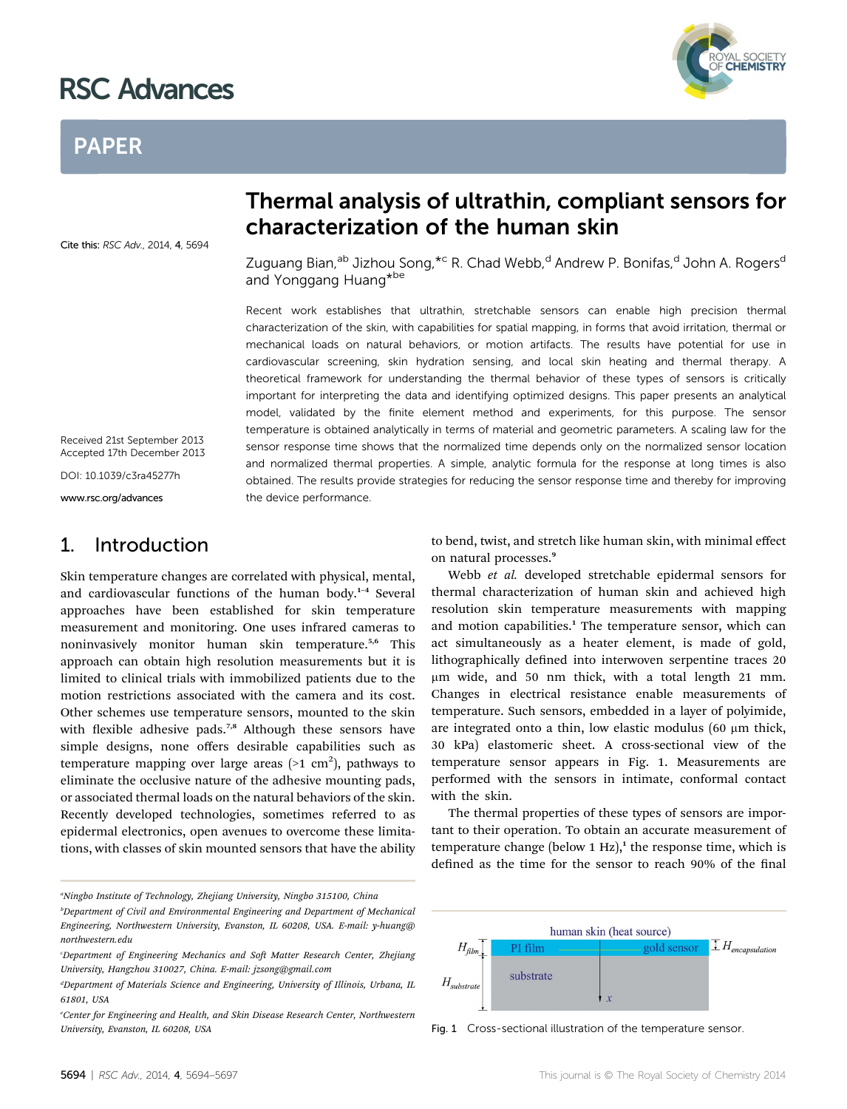# RSC Advances

## PAPER

Cite this: RSC Adv., 2014, 4, 5694

## Thermal analysis of ultrathin, compliant sensors for characterization of the human skin

Zuguang Bian,<sup>ab</sup> Jizhou Song,<sup>\*c</sup> R. Chad Webb,<sup>d</sup> Andrew P. Bonifas,<sup>d</sup> John A. Rogers<sup>d</sup> and Yonggang Huang\*be

Recent work establishes that ultrathin, stretchable sensors can enable high precision thermal characterization of the skin, with capabilities for spatial mapping, in forms that avoid irritation, thermal or mechanical loads on natural behaviors, or motion artifacts. The results have potential for use in cardiovascular screening, skin hydration sensing, and local skin heating and thermal therapy. A theoretical framework for understanding the thermal behavior of these types of sensors is critically important for interpreting the data and identifying optimized designs. This paper presents an analytical model, validated by the finite element method and experiments, for this purpose. The sensor temperature is obtained analytically in terms of material and geometric parameters. A scaling law for the sensor response time shows that the normalized time depends only on the normalized sensor location and normalized thermal properties. A simple, analytic formula for the response at long times is also obtained. The results provide strategies for reducing the sensor response time and thereby for improving the device performance.

Received 21st September 2013 Accepted 17th December 2013

DOI: 10.1039/c3ra45277h

www.rsc.org/advances

## 1. Introduction

Skin temperature changes are correlated with physical, mental, and cardiovascular functions of the human body.<sup>1</sup>–<sup>4</sup> Several approaches have been established for skin temperature measurement and monitoring. One uses infrared cameras to noninvasively monitor human skin temperature.<sup>5,6</sup> This approach can obtain high resolution measurements but it is limited to clinical trials with immobilized patients due to the motion restrictions associated with the camera and its cost. Other schemes use temperature sensors, mounted to the skin with flexible adhesive pads.<sup>7,8</sup> Although these sensors have simple designs, none offers desirable capabilities such as temperature mapping over large areas (>1  $\,\mathrm{cm}^2$ ), pathways to eliminate the occlusive nature of the adhesive mounting pads, or associated thermal loads on the natural behaviors of the skin. Recently developed technologies, sometimes referred to as epidermal electronics, open avenues to overcome these limitations, with classes of skin mounted sensors that have the ability

"Ningbo Institute of Technology, Zhejiang University, Ningbo 315100, China

to bend, twist, and stretch like human skin, with minimal effect on natural processes.<sup>9</sup>

Webb et al. developed stretchable epidermal sensors for thermal characterization of human skin and achieved high resolution skin temperature measurements with mapping and motion capabilities.<sup>1</sup> The temperature sensor, which can act simultaneously as a heater element, is made of gold, lithographically defined into interwoven serpentine traces 20 mm wide, and 50 nm thick, with a total length 21 mm. Changes in electrical resistance enable measurements of temperature. Such sensors, embedded in a layer of polyimide, are integrated onto a thin, low elastic modulus (60  $\mu$ m thick, 30 kPa) elastomeric sheet. A cross-sectional view of the temperature sensor appears in Fig. 1. Measurements are performed with the sensors in intimate, conformal contact with the skin.

The thermal properties of these types of sensors are important to their operation. To obtain an accurate measurement of temperature change (below  $1 \text{ Hz}$ ),<sup>1</sup> the response time, which is defined as the time for the sensor to reach 90% of the final



Fig. 1 Cross-sectional illustration of the temperature sensor.



b Department of Civil and Environmental Engineering and Department of Mechanical Engineering, Northwestern University, Evanston, IL 60208, USA. E-mail: y-huang@ northwestern.edu

Department of Engineering Mechanics and Soft Matter Research Center, Zhejiang University, Hangzhou 310027, China. E-mail: jzsong@gmail.com

<sup>&</sup>lt;sup>d</sup>Department of Materials Science and Engineering, University of Illinois, Urbana, IL 61801, USA

e Center for Engineering and Health, and Skin Disease Research Center, Northwestern University, Evanston, IL 60208, USA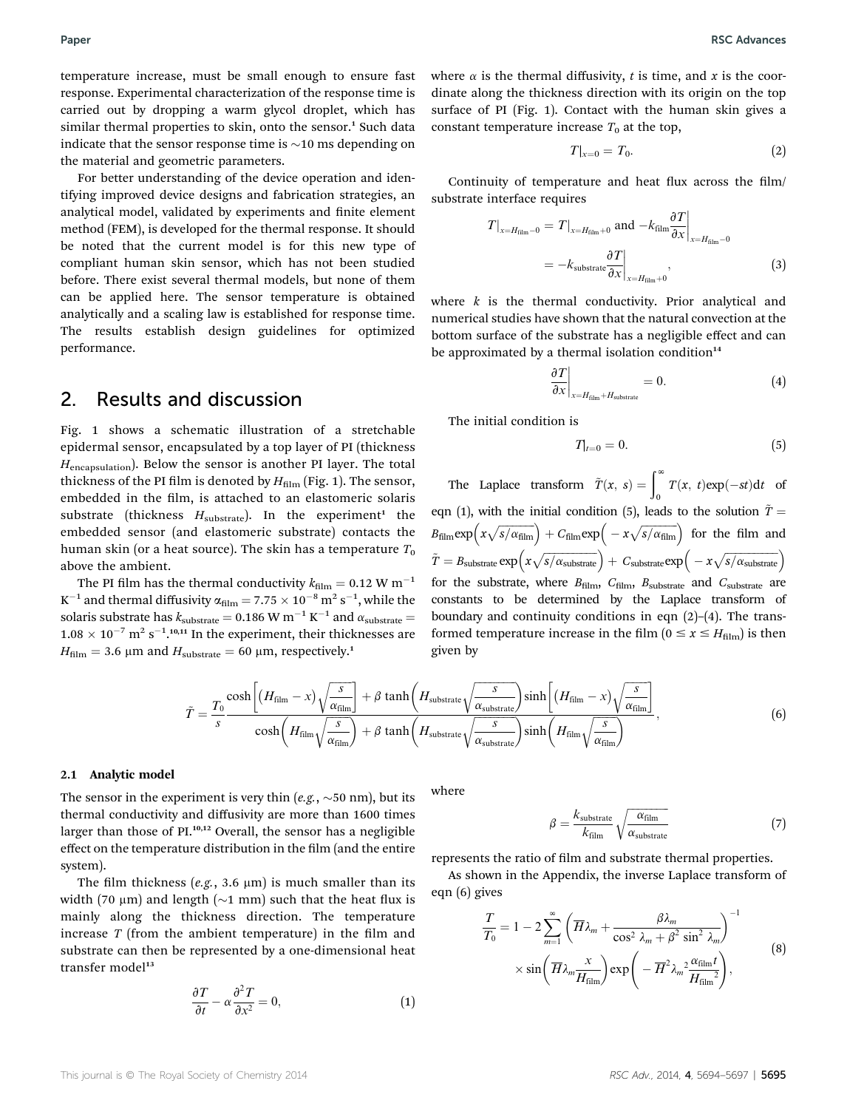temperature increase, must be small enough to ensure fast response. Experimental characterization of the response time is carried out by dropping a warm glycol droplet, which has similar thermal properties to skin, onto the sensor.<sup>1</sup> Such data indicate that the sensor response time is  $\sim$ 10 ms depending on the material and geometric parameters.

For better understanding of the device operation and identifying improved device designs and fabrication strategies, an analytical model, validated by experiments and finite element method (FEM), is developed for the thermal response. It should be noted that the current model is for this new type of compliant human skin sensor, which has not been studied before. There exist several thermal models, but none of them can be applied here. The sensor temperature is obtained analytically and a scaling law is established for response time. The results establish design guidelines for optimized performance.

## 2. Results and discussion

Fig. 1 shows a schematic illustration of a stretchable epidermal sensor, encapsulated by a top layer of PI (thickness  $H_{\text{encapsulation}}$ ). Below the sensor is another PI layer. The total thickness of the PI film is denoted by  $H_{\text{film}}$  (Fig. 1). The sensor, embedded in the film, is attached to an elastomeric solaris substrate (thickness  $H_{\text{substrate}}$ ). In the experiment<sup>1</sup> the embedded sensor (and elastomeric substrate) contacts the human skin (or a heat source). The skin has a temperature  $T_0$ above the ambient.

The PI film has the thermal conductivity  $k_{\text{film}} = 0.12 \text{ W m}^{-1}$  $K^{-1}$  and thermal diffusivity  $\alpha_{\rm film} = 7.75 \times 10^{-8} \text{ m}^2 \text{ s}^{-1}$ , while the solaris substrate has  $k_{\text{substrate}} = 0.186 \text{ W m}^{-1} \text{ K}^{-1}$  and  $\alpha_{\text{substrate}} =$  $1.08 \times 10^{-7}$  m<sup>2</sup> s<sup>-1</sup>.<sup>10,11</sup> In the experiment, their thicknesses are  $H_{\text{film}} = 3.6 \text{ }\mu\text{m}$  and  $H_{\text{substrate}} = 60 \text{ }\mu\text{m}$ , respectively.<sup>1</sup>

where  $\alpha$  is the thermal diffusivity, t is time, and x is the coordinate along the thickness direction with its origin on the top surface of PI (Fig. 1). Contact with the human skin gives a constant temperature increase  $T_0$  at the top,

$$
T|_{x=0}=T_0.\t\t(2)
$$

Continuity of temperature and heat flux across the film/ substrate interface requires

$$
T|_{x=H_{\text{film}}-0} = T|_{x=H_{\text{film}}+0} \text{ and } -k_{\text{film}} \frac{\partial T}{\partial x}\Big|_{x=H_{\text{film}}-0}
$$
  
=  $-k_{\text{substrate}} \frac{\partial T}{\partial x}\Big|_{x=H_{\text{film}}+0}$ , (3)

where  $k$  is the thermal conductivity. Prior analytical and numerical studies have shown that the natural convection at the bottom surface of the substrate has a negligible effect and can be approximated by a thermal isolation condition $14$ 

$$
\left. \frac{\partial T}{\partial x} \right|_{x = H_{\text{film}} + H_{\text{substrate}}} = 0. \tag{4}
$$

The initial condition is

$$
T|_{t=0}=0.\t\t(5)
$$

The Laplace transform  $\tilde{T}(x, s) = \int_0^\infty T(x, t) \exp(-st) dt$  of eqn (1), with the initial condition (5), leads to the solution  $\tilde{T} =$  $B_{\text{film}} \exp\left(x\sqrt{s/\alpha_{\text{film}}}\right) + C_{\text{film}} \exp\left(-x\sqrt{s/\alpha_{\text{film}}}\right)$  for the film and  $\tilde{T} = B_{\rm substrate} \exp \Bigl( x \sqrt{s / \alpha_{\rm substrate}} \Bigr) + \ C_{\rm substrate} \exp \Bigl( - x \sqrt{s / \alpha_{\rm substrate}} \Bigr)$ for the substrate, where  $B_{\text{film}}$ ,  $C_{\text{film}}$ ,  $B_{\text{substrate}}$  and  $C_{\text{substrate}}$  are constants to be determined by the Laplace transform of boundary and continuity conditions in eqn  $(2)$ – $(4)$ . The transformed temperature increase in the film ( $0 \le x \le H_{\text{film}}$ ) is then given by

$$
\tilde{T} = \frac{T_0}{s} \frac{\cosh\left[\left(H_{\text{film}} - x\right)\sqrt{\frac{s}{\alpha_{\text{film}}}}\right] + \beta \tanh\left(H_{\text{substrate}}\sqrt{\frac{s}{\alpha_{\text{substrate}}}}\right) \sinh\left[\left(H_{\text{film}} - x\right)\sqrt{\frac{s}{\alpha_{\text{film}}}}\right]}{\cosh\left(H_{\text{film}}\sqrt{\frac{s}{\alpha_{\text{film}}}}\right) + \beta \tanh\left(H_{\text{substrate}}\sqrt{\frac{s}{\alpha_{\text{substrate}}}}\right) \sinh\left(H_{\text{film}}\sqrt{\frac{s}{\alpha_{\text{film}}}}\right)},\tag{6}
$$

#### 2.1 Analytic model

The sensor in the experiment is very thin (e.g.,  $\sim$  50 nm), but its thermal conductivity and diffusivity are more than 1600 times larger than those of PI.10,12 Overall, the sensor has a negligible effect on the temperature distribution in the film (and the entire system).

The film thickness (e.g., 3.6  $\mu$ m) is much smaller than its width (70  $\mu$ m) and length ( $\sim$ 1 mm) such that the heat flux is mainly along the thickness direction. The temperature increase  $T$  (from the ambient temperature) in the film and substrate can then be represented by a one-dimensional heat transfer model $13$ 

$$
\frac{\partial T}{\partial t} - \alpha \frac{\partial^2 T}{\partial x^2} = 0, \tag{1}
$$

where

$$
\beta = \frac{k_{\text{substrate}}}{k_{\text{film}}} \sqrt{\frac{\alpha_{\text{film}}}{\alpha_{\text{substrate}}}}
$$
(7)

represents the ratio of film and substrate thermal properties.

As shown in the Appendix, the inverse Laplace transform of eqn (6) gives

$$
\frac{T}{T_0} = 1 - 2 \sum_{m=1}^{\infty} \left( \overline{H} \lambda_m + \frac{\beta \lambda_m}{\cos^2 \lambda_m + \beta^2 \sin^2 \lambda_m} \right)^{-1}
$$
\n
$$
\times \sin \left( \overline{H} \lambda_m \frac{x}{H_{\text{film}}} \right) \exp \left( -\overline{H}^2 \lambda_m \frac{2 \alpha_{\text{film}} t}{H_{\text{film}}^2} \right),
$$
\n(8)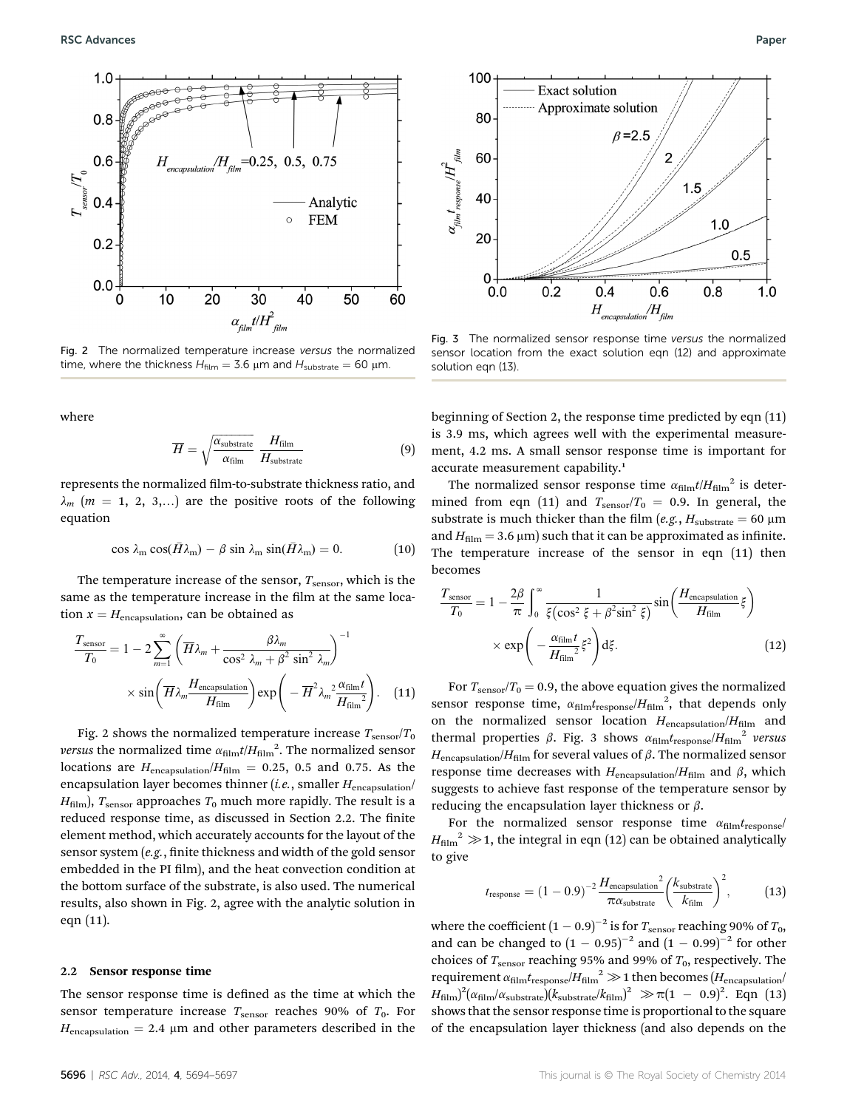

Fig. 2 The normalized temperature increase versus the normalized time, where the thickness  $H_{film} = 3.6 \text{ }\mu\text{m}$  and  $H_{substrate} = 60 \text{ }\mu\text{m}$ .

where

$$
\overline{H} = \sqrt{\frac{\alpha_{\text{substrate}}}{\alpha_{\text{film}}}} \frac{H_{\text{film}}}{H_{\text{substrate}}}
$$
(9)

represents the normalized film-to-substrate thickness ratio, and  $\lambda_m$  (m = 1, 2, 3,...) are the positive roots of the following equation

$$
\cos \lambda_{\rm m} \cos(\bar{H}\lambda_{\rm m}) - \beta \sin \lambda_{\rm m} \sin(\bar{H}\lambda_{\rm m}) = 0. \tag{10}
$$

The temperature increase of the sensor,  $T_{\text{sensor}}$ , which is the same as the temperature increase in the film at the same location  $x = H_{\text{encapsulation}}$ , can be obtained as

$$
\frac{T_{\text{sensor}}}{T_0} = 1 - 2 \sum_{m=1}^{\infty} \left( \overline{H} \lambda_m + \frac{\beta \lambda_m}{\cos^2 \lambda_m + \beta^2 \sin^2 \lambda_m} \right)^{-1}
$$

$$
\times \sin \left( \overline{H} \lambda_m \frac{H_{\text{encapsulation}}}{H_{\text{film}}} \right) \exp \left( -\overline{H}^2 \lambda_m^2 \frac{\alpha_{\text{film}}t}{H_{\text{film}}^2} \right). \quad (11)
$$

Fig. 2 shows the normalized temperature increase  $T_{\text{sensor}}/T_0$ *versus* the normalized time  $\alpha_{\text{film}} t / H_{\text{film}}^2$ . The normalized sensor<br>logations are  $H = (H - 0.25 \times 0.5 \text{ and } 0.75 \text{ A}) t$ locations are  $H_{\text{encapsulation}}/H_{\text{film}} = 0.25, 0.5$  and 0.75. As the encapsulation layer becomes thinner (*i.e.*, smaller  $H_{\text{encapsulation}}/$  $H<sub>film</sub>$ ),  $T<sub>sensor</sub>$  approaches  $T<sub>0</sub>$  much more rapidly. The result is a reduced response time, as discussed in Section 2.2. The finite element method, which accurately accounts for the layout of the sensor system  $(e.g.,$  finite thickness and width of the gold sensor embedded in the PI film), and the heat convection condition at the bottom surface of the substrate, is also used. The numerical results, also shown in Fig. 2, agree with the analytic solution in eqn (11).

#### 2.2 Sensor response time

The sensor response time is defined as the time at which the sensor temperature increase  $T_{\text{sensor}}$  reaches 90% of  $T_0$ . For  $H_{\text{encapsulation}} = 2.4 \mu m$  and other parameters described in the



Fig. 3 The normalized sensor response time versus the normalized sensor location from the exact solution eqn (12) and approximate solution eqn (13).

beginning of Section 2, the response time predicted by eqn (11) is 3.9 ms, which agrees well with the experimental measurement, 4.2 ms. A small sensor response time is important for accurate measurement capability.<sup>1</sup>

The normalized sensor response time  $\alpha_{\text{film}}t/H_{\text{film}}^2$  is determined from eqn (11) and  $T_{\text{sensor}}/T_0 = 0.9$ . In general, the substrate is much thicker than the film (e.g.,  $H_{\text{substrate}} = 60 \text{ }\mu\text{m}$ and  $H_{\text{film}} = 3.6 \,\mu\text{m}$ ) such that it can be approximated as infinite. The temperature increase of the sensor in eqn (11) then becomes

$$
\frac{T_{\text{sensor}}}{T_0} = 1 - \frac{2\beta}{\pi} \int_0^\infty \frac{1}{\xi (\cos^2 \xi + \beta^2 \sin^2 \xi)} \sin \left( \frac{H_{\text{encapsulation}}}{H_{\text{film}}} \xi \right)
$$

$$
\times \exp \left( -\frac{\alpha_{\text{film}} t}{H_{\text{film}}} \xi^2 \right) d\xi.
$$
(12)

For  $T_{\text{sensor}}/T_0 = 0.9$ , the above equation gives the normalized sensor response time,  $\alpha_{\text{film}}t_{\text{response}}/H_{\text{film}}^2$ , that depends only on the normalized sensor location  $H_{\text{encapsulation}}/H_{\text{film}}$  and thermal properties  $\beta$ . Fig. 3 shows  $\alpha_{\text{film}}t_{\text{response}}/H_{\text{film}}^2$  versus  $H_{\textrm{encapsulation}}/H_{\textrm{film}}$  for several values of  $\beta$ . The normalized sensor response time decreases with  $H_{\text{encapsulation}}/H_{\text{film}}$  and  $\beta$ , which suggests to achieve fast response of the temperature sensor by reducing the encapsulation layer thickness or  $\beta$ .

For the normalized sensor response time  $\alpha_{\rm film} t_{\rm response}$  $H_{\text{film}}^2 \gg 1$ , the integral in eqn (12) can be obtained analytically to give

$$
t_{\text{response}} = (1 - 0.9)^{-2} \frac{H_{\text{encapsulation}}^2}{\pi \alpha_{\text{substrate}}} \left(\frac{k_{\text{substrate}}}{k_{\text{film}}}\right)^2, \tag{13}
$$

where the coefficient  $(1 - 0.9)^{-2}$  is for  $T_{\text{sensor}}$  reaching 90% of  $T_0$ , and can be changed to  $(1 - 0.95)^{-2}$  and  $(1 - 0.99)^{-2}$  for other choices of  $T_{\text{sensor}}$  reaching 95% and 99% of  $T_0$ , respectively. The requirement  $\alpha_{\text{film}}t_{\text{response}}/H_{\text{film}}^2 \gg 1$  then becomes ( $H_{\text{encapsulation}}/$  $H_{\text{film}}^2 \propto \pi (1 - 0.9)^2$ . Eqn (13)<br>chour that the concerner propose time is prepartienal to the square shows that the sensor response time is proportional to the square of the encapsulation layer thickness (and also depends on the